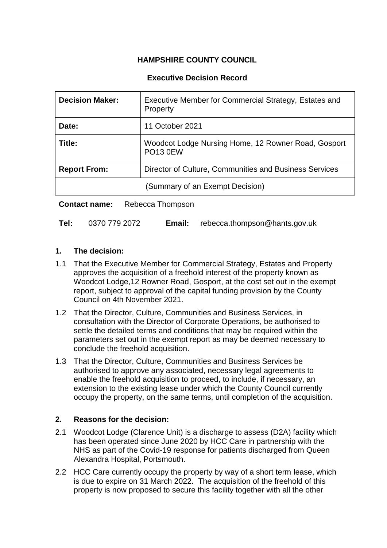# **HAMPSHIRE COUNTY COUNCIL**

## **Executive Decision Record**

| <b>Decision Maker:</b>                                                        | Executive Member for Commercial Strategy, Estates and<br>Property      |  |
|-------------------------------------------------------------------------------|------------------------------------------------------------------------|--|
| Date:                                                                         | 11 October 2021                                                        |  |
| Title:                                                                        | Woodcot Lodge Nursing Home, 12 Rowner Road, Gosport<br><b>PO13 0EW</b> |  |
| Director of Culture, Communities and Business Services<br><b>Report From:</b> |                                                                        |  |
|                                                                               | (Summary of an Exempt Decision)                                        |  |

**Contact name:** Rebecca Thompson

| Tel: | 0370 779 2072 | <b>Email:</b> | : rebecca.thompson@hants.gov.uk |
|------|---------------|---------------|---------------------------------|
|------|---------------|---------------|---------------------------------|

### **1. The decision:**

- 1.1 That the Executive Member for Commercial Strategy, Estates and Property approves the acquisition of a freehold interest of the property known as Woodcot Lodge,12 Rowner Road, Gosport, at the cost set out in the exempt report, subject to approval of the capital funding provision by the County Council on 4th November 2021.
- 1.2 That the Director, Culture, Communities and Business Services, in consultation with the Director of Corporate Operations, be authorised to settle the detailed terms and conditions that may be required within the parameters set out in the exempt report as may be deemed necessary to conclude the freehold acquisition.
- 1.3 That the Director, Culture, Communities and Business Services be authorised to approve any associated, necessary legal agreements to enable the freehold acquisition to proceed, to include, if necessary, an extension to the existing lease under which the County Council currently occupy the property, on the same terms, until completion of the acquisition.

### **2. Reasons for the decision:**

- 2.1 Woodcot Lodge (Clarence Unit) is a discharge to assess (D2A) facility which has been operated since June 2020 by HCC Care in partnership with the NHS as part of the Covid-19 response for patients discharged from Queen Alexandra Hospital, Portsmouth.
- 2.2 HCC Care currently occupy the property by way of a short term lease, which is due to expire on 31 March 2022. The acquisition of the freehold of this property is now proposed to secure this facility together with all the other